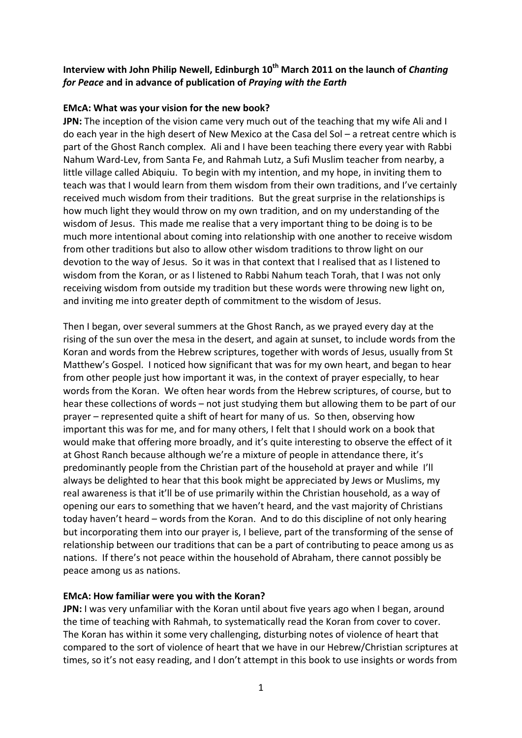# Interview with John Philip Newell, Edinburgh 10<sup>th</sup> March 2011 on the launch of *Chanting for Peace* **and in advance of publication of** *Praying with the Earth*

### **EMcA: What was your vision for the new book?**

**JPN:** The inception of the vision came very much out of the teaching that my wife Ali and I do each year in the high desert of New Mexico at the Casa del Sol – a retreat centre which is part of the Ghost Ranch complex. Ali and I have been teaching there every year with Rabbi Nahum Ward-Lev, from Santa Fe, and Rahmah Lutz, a Sufi Muslim teacher from nearby, a little village called Abiquiu. To begin with my intention, and my hope, in inviting them to teach was that I would learn from them wisdom from their own traditions, and I've certainly received much wisdom from their traditions. But the great surprise in the relationships is how much light they would throw on my own tradition, and on my understanding of the wisdom of Jesus. This made me realise that a very important thing to be doing is to be much more intentional about coming into relationship with one another to receive wisdom from other traditions but also to allow other wisdom traditions to throw light on our devotion to the way of Jesus. So it was in that context that I realised that as I listened to wisdom from the Koran, or as I listened to Rabbi Nahum teach Torah, that I was not only receiving wisdom from outside my tradition but these words were throwing new light on, and inviting me into greater depth of commitment to the wisdom of Jesus.

Then I began, over several summers at the Ghost Ranch, as we prayed every day at the rising of the sun over the mesa in the desert, and again at sunset, to include words from the Koran and words from the Hebrew scriptures, together with words of Jesus, usually from St Matthew's Gospel. I noticed how significant that was for my own heart, and began to hear from other people just how important it was, in the context of prayer especially, to hear words from the Koran. We often hear words from the Hebrew scriptures, of course, but to hear these collections of words – not just studying them but allowing them to be part of our prayer – represented quite a shift of heart for many of us. So then, observing how important this was for me, and for many others, I felt that I should work on a book that would make that offering more broadly, and it's quite interesting to observe the effect of it at Ghost Ranch because although we're a mixture of people in attendance there, it's predominantly people from the Christian part of the household at prayer and while I'll always be delighted to hear that this book might be appreciated by Jews or Muslims, my real awareness is that it'll be of use primarily within the Christian household, as a way of opening our ears to something that we haven't heard, and the vast majority of Christians today haven't heard – words from the Koran. And to do this discipline of not only hearing but incorporating them into our prayer is, I believe, part of the transforming of the sense of relationship between our traditions that can be a part of contributing to peace among us as nations. If there's not peace within the household of Abraham, there cannot possibly be peace among us as nations.

### **EMcA: How familiar were you with the Koran?**

**JPN:** I was very unfamiliar with the Koran until about five years ago when I began, around the time of teaching with Rahmah, to systematically read the Koran from cover to cover. The Koran has within it some very challenging, disturbing notes of violence of heart that compared to the sort of violence of heart that we have in our Hebrew/Christian scriptures at times, so it's not easy reading, and I don't attempt in this book to use insights or words from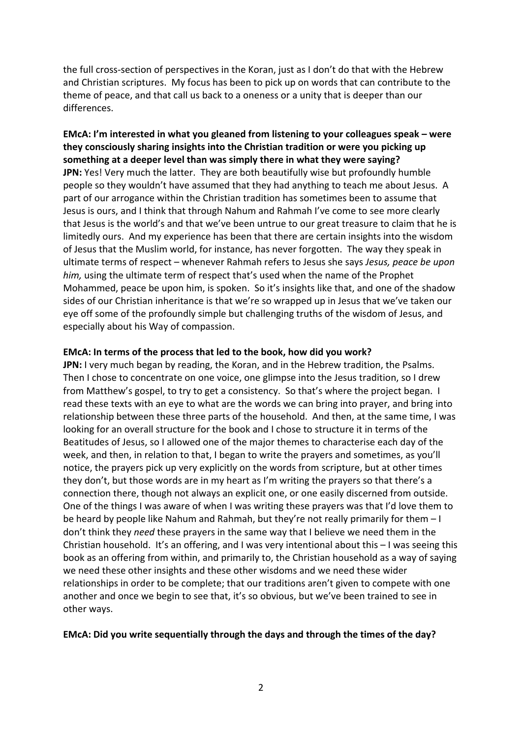the full cross-section of perspectives in the Koran, just as I don't do that with the Hebrew and Christian scriptures. My focus has been to pick up on words that can contribute to the theme of peace, and that call us back to a oneness or a unity that is deeper than our differences.

**EMcA: I'm interested in what you gleaned from listening to your colleagues speak – were they consciously sharing insights into the Christian tradition or were you picking up something at a deeper level than was simply there in what they were saying? JPN:** Yes! Very much the latter. They are both beautifully wise but profoundly humble people so they wouldn't have assumed that they had anything to teach me about Jesus. A part of our arrogance within the Christian tradition has sometimes been to assume that Jesus is ours, and I think that through Nahum and Rahmah I've come to see more clearly that Jesus is the world's and that we've been untrue to our great treasure to claim that he is limitedly ours. And my experience has been that there are certain insights into the wisdom of Jesus that the Muslim world, for instance, has never forgotten. The way they speak in ultimate terms of respect – whenever Rahmah refers to Jesus she says *Jesus, peace be upon him,* using the ultimate term of respect that's used when the name of the Prophet Mohammed, peace be upon him, is spoken. So it's insights like that, and one of the shadow sides of our Christian inheritance is that we're so wrapped up in Jesus that we've taken our eye off some of the profoundly simple but challenging truths of the wisdom of Jesus, and especially about his Way of compassion.

### **EMcA: In terms of the process that led to the book, how did you work?**

**JPN:** I very much began by reading, the Koran, and in the Hebrew tradition, the Psalms. Then I chose to concentrate on one voice, one glimpse into the Jesus tradition, so I drew from Matthew's gospel, to try to get a consistency. So that's where the project began. I read these texts with an eye to what are the words we can bring into prayer, and bring into relationship between these three parts of the household. And then, at the same time, I was looking for an overall structure for the book and I chose to structure it in terms of the Beatitudes of Jesus, so I allowed one of the major themes to characterise each day of the week, and then, in relation to that, I began to write the prayers and sometimes, as you'll notice, the prayers pick up very explicitly on the words from scripture, but at other times they don't, but those words are in my heart as I'm writing the prayers so that there's a connection there, though not always an explicit one, or one easily discerned from outside. One of the things I was aware of when I was writing these prayers was that I'd love them to be heard by people like Nahum and Rahmah, but they're not really primarily for them – I don't think they *need* these prayers in the same way that I believe we need them in the Christian household. It's an offering, and I was very intentional about this – I was seeing this book as an offering from within, and primarily to, the Christian household as a way of saying we need these other insights and these other wisdoms and we need these wider relationships in order to be complete; that our traditions aren't given to compete with one another and once we begin to see that, it's so obvious, but we've been trained to see in other ways.

#### **EMcA: Did you write sequentially through the days and through the times of the day?**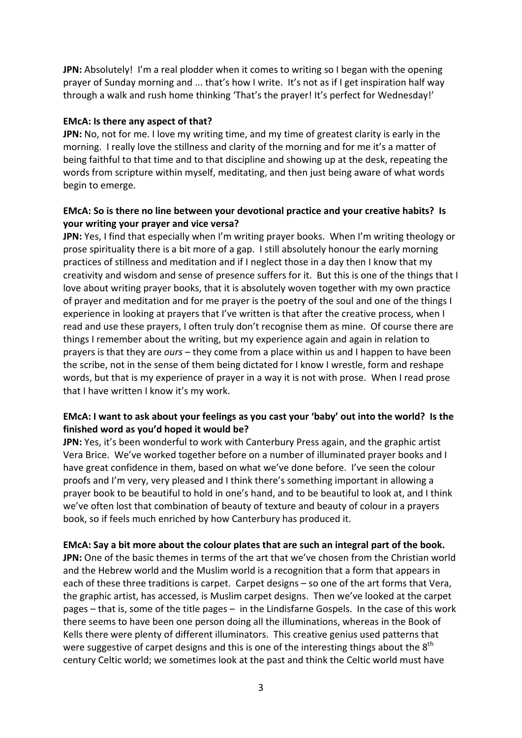**JPN:** Absolutely! I'm a real plodder when it comes to writing so I began with the opening prayer of Sunday morning and ... that's how I write. It's not as if I get inspiration half way through a walk and rush home thinking 'That's the prayer! It's perfect for Wednesday!'

### **EMcA: Is there any aspect of that?**

**JPN:** No, not for me. I love my writing time, and my time of greatest clarity is early in the morning. I really love the stillness and clarity of the morning and for me it's a matter of being faithful to that time and to that discipline and showing up at the desk, repeating the words from scripture within myself, meditating, and then just being aware of what words begin to emerge.

# **EMcA: So is there no line between your devotional practice and your creative habits? Is your writing your prayer and vice versa?**

**JPN:** Yes, I find that especially when I'm writing prayer books. When I'm writing theology or prose spirituality there is a bit more of a gap. I still absolutely honour the early morning practices of stillness and meditation and if I neglect those in a day then I know that my creativity and wisdom and sense of presence suffers for it. But this is one of the things that I love about writing prayer books, that it is absolutely woven together with my own practice of prayer and meditation and for me prayer is the poetry of the soul and one of the things I experience in looking at prayers that I've written is that after the creative process, when I read and use these prayers, I often truly don't recognise them as mine. Of course there are things I remember about the writing, but my experience again and again in relation to prayers is that they are *ours* – they come from a place within us and I happen to have been the scribe, not in the sense of them being dictated for I know I wrestle, form and reshape words, but that is my experience of prayer in a way it is not with prose. When I read prose that I have written I know it's my work.

# **EMcA: I want to ask about your feelings as you cast your 'baby' out into the world? Is the finished word as you'd hoped it would be?**

**JPN:** Yes, it's been wonderful to work with Canterbury Press again, and the graphic artist Vera Brice. We've worked together before on a number of illuminated prayer books and I have great confidence in them, based on what we've done before. I've seen the colour proofs and I'm very, very pleased and I think there's something important in allowing a prayer book to be beautiful to hold in one's hand, and to be beautiful to look at, and I think we've often lost that combination of beauty of texture and beauty of colour in a prayers book, so if feels much enriched by how Canterbury has produced it.

### **EMcA: Say a bit more about the colour plates that are such an integral part of the book.**

**JPN:** One of the basic themes in terms of the art that we've chosen from the Christian world and the Hebrew world and the Muslim world is a recognition that a form that appears in each of these three traditions is carpet. Carpet designs – so one of the art forms that Vera, the graphic artist, has accessed, is Muslim carpet designs. Then we've looked at the carpet pages – that is, some of the title pages – in the Lindisfarne Gospels. In the case of this work there seems to have been one person doing all the illuminations, whereas in the Book of Kells there were plenty of different illuminators. This creative genius used patterns that were suggestive of carpet designs and this is one of the interesting things about the  $8<sup>th</sup>$ century Celtic world; we sometimes look at the past and think the Celtic world must have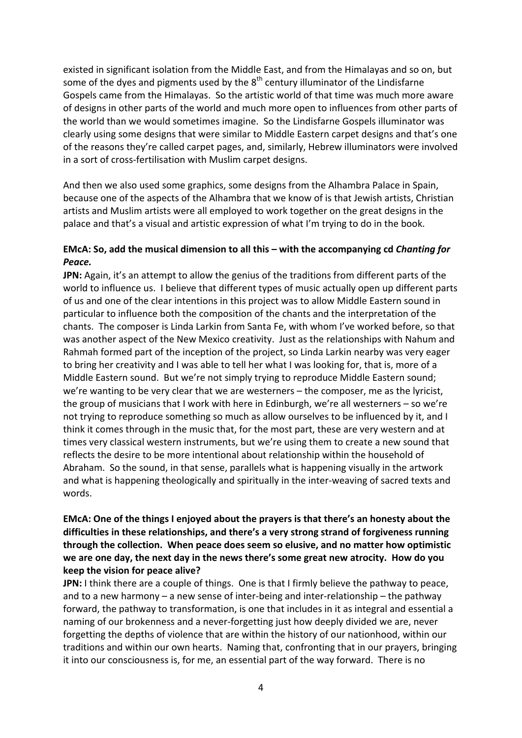existed in significant isolation from the Middle East, and from the Himalayas and so on, but some of the dyes and pigments used by the  $8<sup>th</sup>$  century illuminator of the Lindisfarne Gospels came from the Himalayas. So the artistic world of that time was much more aware of designs in other parts of the world and much more open to influences from other parts of the world than we would sometimes imagine. So the Lindisfarne Gospels illuminator was clearly using some designs that were similar to Middle Eastern carpet designs and that's one of the reasons they're called carpet pages, and, similarly, Hebrew illuminators were involved in a sort of cross-fertilisation with Muslim carpet designs.

And then we also used some graphics, some designs from the Alhambra Palace in Spain, because one of the aspects of the Alhambra that we know of is that Jewish artists, Christian artists and Muslim artists were all employed to work together on the great designs in the palace and that's a visual and artistic expression of what I'm trying to do in the book.

### **EMcA: So, add the musical dimension to all this – with the accompanying cd** *Chanting for Peace.*

**JPN:** Again, it's an attempt to allow the genius of the traditions from different parts of the world to influence us. I believe that different types of music actually open up different parts of us and one of the clear intentions in this project was to allow Middle Eastern sound in particular to influence both the composition of the chants and the interpretation of the chants. The composer is Linda Larkin from Santa Fe, with whom I've worked before, so that was another aspect of the New Mexico creativity. Just as the relationships with Nahum and Rahmah formed part of the inception of the project, so Linda Larkin nearby was very eager to bring her creativity and I was able to tell her what I was looking for, that is, more of a Middle Eastern sound. But we're not simply trying to reproduce Middle Eastern sound; we're wanting to be very clear that we are westerners – the composer, me as the lyricist, the group of musicians that I work with here in Edinburgh, we're all westerners – so we're not trying to reproduce something so much as allow ourselves to be influenced by it, and I think it comes through in the music that, for the most part, these are very western and at times very classical western instruments, but we're using them to create a new sound that reflects the desire to be more intentional about relationship within the household of Abraham. So the sound, in that sense, parallels what is happening visually in the artwork and what is happening theologically and spiritually in the inter-weaving of sacred texts and words.

## **EMcA: One of the things I enjoyed about the prayers is that there's an honesty about the difficulties in these relationships, and there's a very strong strand of forgiveness running through the collection. When peace does seem so elusive, and no matter how optimistic we are one day, the next day in the news there's some great new atrocity. How do you keep the vision for peace alive?**

**JPN:** I think there are a couple of things. One is that I firmly believe the pathway to peace, and to a new harmony – a new sense of inter-being and inter-relationship – the pathway forward, the pathway to transformation, is one that includes in it as integral and essential a naming of our brokenness and a never-forgetting just how deeply divided we are, never forgetting the depths of violence that are within the history of our nationhood, within our traditions and within our own hearts. Naming that, confronting that in our prayers, bringing it into our consciousness is, for me, an essential part of the way forward. There is no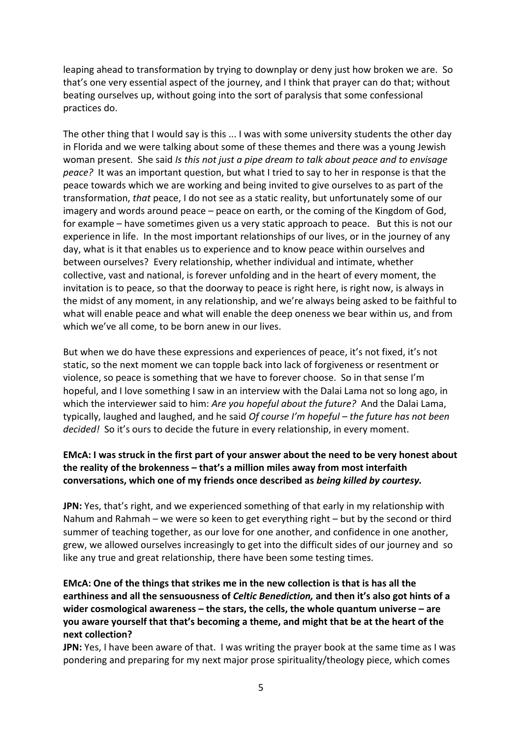leaping ahead to transformation by trying to downplay or deny just how broken we are. So that's one very essential aspect of the journey, and I think that prayer can do that; without beating ourselves up, without going into the sort of paralysis that some confessional practices do.

The other thing that I would say is this ... I was with some university students the other day in Florida and we were talking about some of these themes and there was a young Jewish woman present. She said *Is this not just a pipe dream to talk about peace and to envisage peace?* It was an important question, but what I tried to say to her in response is that the peace towards which we are working and being invited to give ourselves to as part of the transformation, *that* peace, I do not see as a static reality, but unfortunately some of our imagery and words around peace – peace on earth, or the coming of the Kingdom of God, for example – have sometimes given us a very static approach to peace. But this is not our experience in life. In the most important relationships of our lives, or in the journey of any day, what is it that enables us to experience and to know peace within ourselves and between ourselves? Every relationship, whether individual and intimate, whether collective, vast and national, is forever unfolding and in the heart of every moment, the invitation is to peace, so that the doorway to peace is right here, is right now, is always in the midst of any moment, in any relationship, and we're always being asked to be faithful to what will enable peace and what will enable the deep oneness we bear within us, and from which we've all come, to be born anew in our lives.

But when we do have these expressions and experiences of peace, it's not fixed, it's not static, so the next moment we can topple back into lack of forgiveness or resentment or violence, so peace is something that we have to forever choose. So in that sense I'm hopeful, and I love something I saw in an interview with the Dalai Lama not so long ago, in which the interviewer said to him: *Are you hopeful about the future?* And the Dalai Lama, typically, laughed and laughed, and he said *Of course I'm hopeful – the future has not been decided!* So it's ours to decide the future in every relationship, in every moment.

# **EMcA: I was struck in the first part of your answer about the need to be very honest about the reality of the brokenness – that's a million miles away from most interfaith conversations, which one of my friends once described as** *being killed by courtesy.*

**JPN:** Yes, that's right, and we experienced something of that early in my relationship with Nahum and Rahmah – we were so keen to get everything right – but by the second or third summer of teaching together, as our love for one another, and confidence in one another, grew, we allowed ourselves increasingly to get into the difficult sides of our journey and so like any true and great relationship, there have been some testing times.

# **EMcA: One of the things that strikes me in the new collection is that is has all the earthiness and all the sensuousness of** *Celtic Benediction,* **and then it's also got hints of a wider cosmological awareness – the stars, the cells, the whole quantum universe – are you aware yourself that that's becoming a theme, and might that be at the heart of the next collection?**

**JPN:** Yes, I have been aware of that. I was writing the prayer book at the same time as I was pondering and preparing for my next major prose spirituality/theology piece, which comes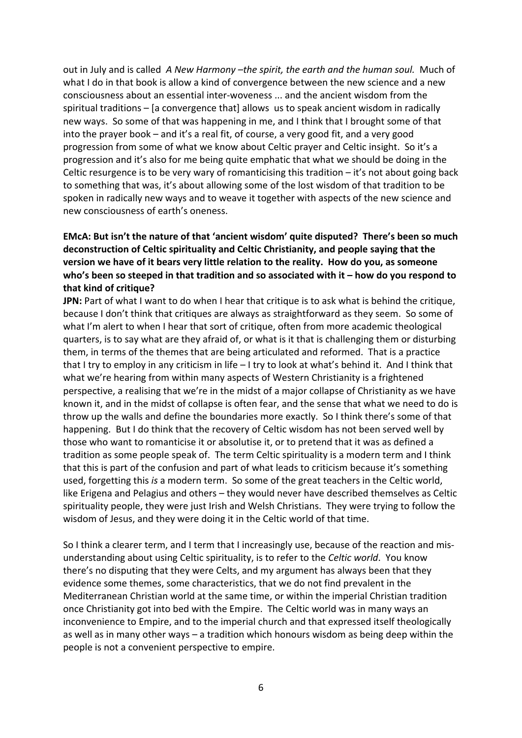out in July and is called *A New Harmony –the spirit, the earth and the human soul.* Much of what I do in that book is allow a kind of convergence between the new science and a new consciousness about an essential inter-woveness ... and the ancient wisdom from the spiritual traditions – [a convergence that] allows us to speak ancient wisdom in radically new ways. So some of that was happening in me, and I think that I brought some of that into the prayer book – and it's a real fit, of course, a very good fit, and a very good progression from some of what we know about Celtic prayer and Celtic insight. So it's a progression and it's also for me being quite emphatic that what we should be doing in the Celtic resurgence is to be very wary of romanticising this tradition  $-$  it's not about going back to something that was, it's about allowing some of the lost wisdom of that tradition to be spoken in radically new ways and to weave it together with aspects of the new science and new consciousness of earth's oneness.

# **EMcA: But isn't the nature of that 'ancient wisdom' quite disputed? There's been so much deconstruction of Celtic spirituality and Celtic Christianity, and people saying that the version we have of it bears very little relation to the reality. How do you, as someone who's been so steeped in that tradition and so associated with it – how do you respond to that kind of critique?**

**JPN:** Part of what I want to do when I hear that critique is to ask what is behind the critique, because I don't think that critiques are always as straightforward as they seem. So some of what I'm alert to when I hear that sort of critique, often from more academic theological quarters, is to say what are they afraid of, or what is it that is challenging them or disturbing them, in terms of the themes that are being articulated and reformed. That is a practice that I try to employ in any criticism in life – I try to look at what's behind it. And I think that what we're hearing from within many aspects of Western Christianity is a frightened perspective, a realising that we're in the midst of a major collapse of Christianity as we have known it, and in the midst of collapse is often fear, and the sense that what we need to do is throw up the walls and define the boundaries more exactly. So I think there's some of that happening. But I do think that the recovery of Celtic wisdom has not been served well by those who want to romanticise it or absolutise it, or to pretend that it was as defined a tradition as some people speak of. The term Celtic spirituality is a modern term and I think that this is part of the confusion and part of what leads to criticism because it's something used, forgetting this *is* a modern term. So some of the great teachers in the Celtic world, like Erigena and Pelagius and others – they would never have described themselves as Celtic spirituality people, they were just Irish and Welsh Christians. They were trying to follow the wisdom of Jesus, and they were doing it in the Celtic world of that time.

So I think a clearer term, and I term that I increasingly use, because of the reaction and misunderstanding about using Celtic spirituality, is to refer to the *Celtic world*. You know there's no disputing that they were Celts, and my argument has always been that they evidence some themes, some characteristics, that we do not find prevalent in the Mediterranean Christian world at the same time, or within the imperial Christian tradition once Christianity got into bed with the Empire. The Celtic world was in many ways an inconvenience to Empire, and to the imperial church and that expressed itself theologically as well as in many other ways – a tradition which honours wisdom as being deep within the people is not a convenient perspective to empire.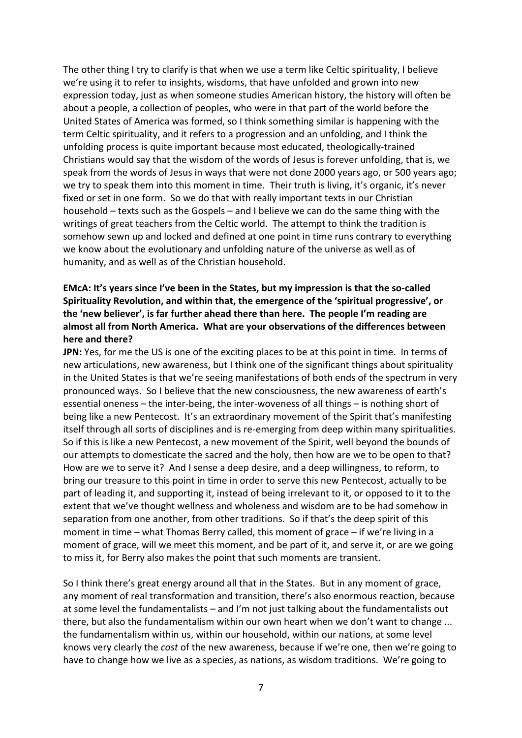The other thing I try to clarify is that when we use a term like Celtic spirituality, I believe we're using it to refer to insights, wisdoms, that have unfolded and grown into new expression today, just as when someone studies American history, the history will often be about a people, a collection of peoples, who were in that part of the world before the United States of America was formed, so I think something similar is happening with the term Celtic spirituality, and it refers to a progression and an unfolding, and I think the unfolding process is quite important because most educated, theologically-trained Christians would say that the wisdom of the words of Jesus is forever unfolding, that is, we speak from the words of Jesus in ways that were not done 2000 years ago, or 500 years ago; we try to speak them into this moment in time. Their truth is living, it's organic, it's never fixed or set in one form. So we do that with really important texts in our Christian household – texts such as the Gospels – and I believe we can do the same thing with the writings of great teachers from the Celtic world. The attempt to think the tradition is somehow sewn up and locked and defined at one point in time runs contrary to everything we know about the evolutionary and unfolding nature of the universe as well as of humanity, and as well as of the Christian household.

# **EMcA: It's years since I've been in the States, but my impression is that the so-called Spirituality Revolution, and within that, the emergence of the 'spiritual progressive', or the 'new believer', is far further ahead there than here. The people I'm reading are almost all from North America. What are your observations of the differences between here and there?**

**JPN:** Yes, for me the US is one of the exciting places to be at this point in time. In terms of new articulations, new awareness, but I think one of the significant things about spirituality in the United States is that we're seeing manifestations of both ends of the spectrum in very pronounced ways. So I believe that the new consciousness, the new awareness of earth's essential oneness – the inter-being, the inter-woveness of all things – is nothing short of being like a new Pentecost. It's an extraordinary movement of the Spirit that's manifesting itself through all sorts of disciplines and is re-emerging from deep within many spiritualities. So if this is like a new Pentecost, a new movement of the Spirit, well beyond the bounds of our attempts to domesticate the sacred and the holy, then how are we to be open to that? How are we to serve it? And I sense a deep desire, and a deep willingness, to reform, to bring our treasure to this point in time in order to serve this new Pentecost, actually to be part of leading it, and supporting it, instead of being irrelevant to it, or opposed to it to the extent that we've thought wellness and wholeness and wisdom are to be had somehow in separation from one another, from other traditions. So if that's the deep spirit of this moment in time – what Thomas Berry called, this moment of grace – if we're living in a moment of grace, will we meet this moment, and be part of it, and serve it, or are we going to miss it, for Berry also makes the point that such moments are transient.

So I think there's great energy around all that in the States. But in any moment of grace, any moment of real transformation and transition, there's also enormous reaction, because at some level the fundamentalists – and I'm not just talking about the fundamentalists out there, but also the fundamentalism within our own heart when we don't want to change ... the fundamentalism within us, within our household, within our nations, at some level knows very clearly the *cost* of the new awareness, because if we're one, then we're going to have to change how we live as a species, as nations, as wisdom traditions. We're going to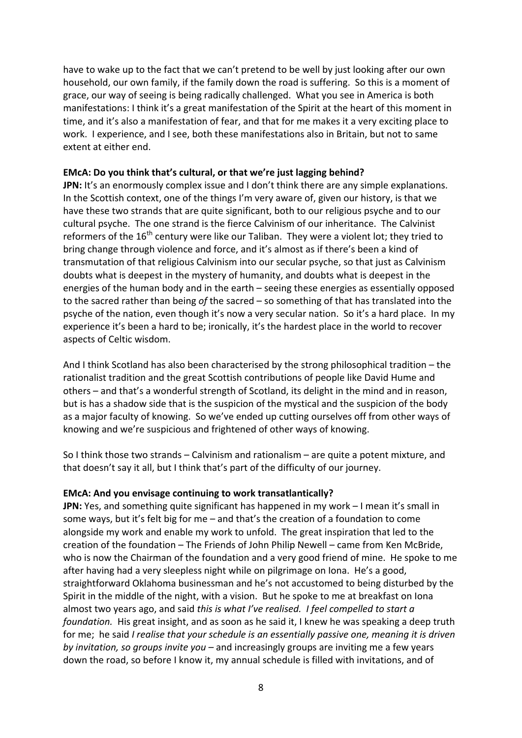have to wake up to the fact that we can't pretend to be well by just looking after our own household, our own family, if the family down the road is suffering. So this is a moment of grace, our way of seeing is being radically challenged. What you see in America is both manifestations: I think it's a great manifestation of the Spirit at the heart of this moment in time, and it's also a manifestation of fear, and that for me makes it a very exciting place to work. I experience, and I see, both these manifestations also in Britain, but not to same extent at either end.

### **EMcA: Do you think that's cultural, or that we're just lagging behind?**

**JPN:** It's an enormously complex issue and I don't think there are any simple explanations. In the Scottish context, one of the things I'm very aware of, given our history, is that we have these two strands that are quite significant, both to our religious psyche and to our cultural psyche. The one strand is the fierce Calvinism of our inheritance. The Calvinist reformers of the  $16<sup>th</sup>$  century were like our Taliban. They were a violent lot; they tried to bring change through violence and force, and it's almost as if there's been a kind of transmutation of that religious Calvinism into our secular psyche, so that just as Calvinism doubts what is deepest in the mystery of humanity, and doubts what is deepest in the energies of the human body and in the earth – seeing these energies as essentially opposed to the sacred rather than being *of* the sacred – so something of that has translated into the psyche of the nation, even though it's now a very secular nation. So it's a hard place. In my experience it's been a hard to be; ironically, it's the hardest place in the world to recover aspects of Celtic wisdom.

And I think Scotland has also been characterised by the strong philosophical tradition – the rationalist tradition and the great Scottish contributions of people like David Hume and others – and that's a wonderful strength of Scotland, its delight in the mind and in reason, but is has a shadow side that is the suspicion of the mystical and the suspicion of the body as a major faculty of knowing. So we've ended up cutting ourselves off from other ways of knowing and we're suspicious and frightened of other ways of knowing.

So I think those two strands – Calvinism and rationalism – are quite a potent mixture, and that doesn't say it all, but I think that's part of the difficulty of our journey.

#### **EMcA: And you envisage continuing to work transatlantically?**

**JPN:** Yes, and something quite significant has happened in my work – I mean it's small in some ways, but it's felt big for me – and that's the creation of a foundation to come alongside my work and enable my work to unfold. The great inspiration that led to the creation of the foundation – The Friends of John Philip Newell – came from Ken McBride, who is now the Chairman of the foundation and a very good friend of mine. He spoke to me after having had a very sleepless night while on pilgrimage on Iona. He's a good, straightforward Oklahoma businessman and he's not accustomed to being disturbed by the Spirit in the middle of the night, with a vision. But he spoke to me at breakfast on Iona almost two years ago, and said *this is what I've realised. I feel compelled to start a foundation.* His great insight, and as soon as he said it, I knew he was speaking a deep truth for me; he said *I realise that your schedule is an essentially passive one, meaning it is driven by invitation, so groups invite you –* and increasingly groups are inviting me a few years down the road, so before I know it, my annual schedule is filled with invitations, and of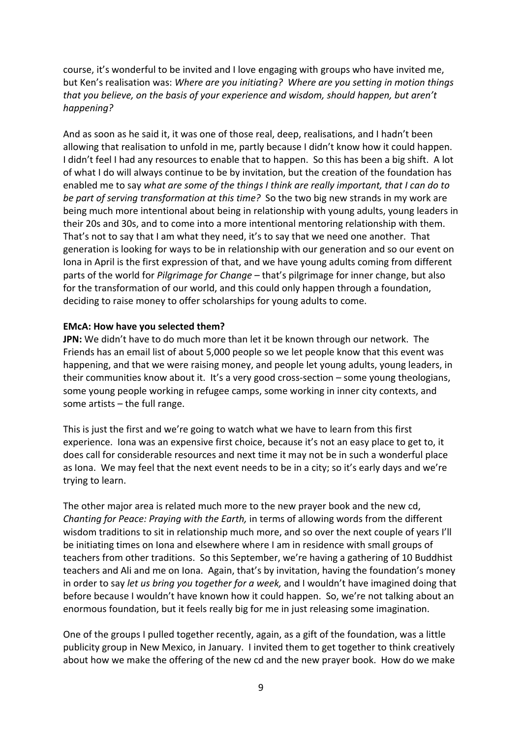course, it's wonderful to be invited and I love engaging with groups who have invited me, but Ken's realisation was: *Where are you initiating? Where are you setting in motion things that you believe, on the basis of your experience and wisdom, should happen, but aren't happening?* 

And as soon as he said it, it was one of those real, deep, realisations, and I hadn't been allowing that realisation to unfold in me, partly because I didn't know how it could happen. I didn't feel I had any resources to enable that to happen. So this has been a big shift. A lot of what I do will always continue to be by invitation, but the creation of the foundation has enabled me to say *what are some of the things I think are really important, that I can do to be part of serving transformation at this time?* So the two big new strands in my work are being much more intentional about being in relationship with young adults, young leaders in their 20s and 30s, and to come into a more intentional mentoring relationship with them. That's not to say that I am what they need, it's to say that we need one another. That generation is looking for ways to be in relationship with our generation and so our event on Iona in April is the first expression of that, and we have young adults coming from different parts of the world for *Pilgrimage for Change –* that's pilgrimage for inner change, but also for the transformation of our world, and this could only happen through a foundation, deciding to raise money to offer scholarships for young adults to come.

### **EMcA: How have you selected them?**

**JPN:** We didn't have to do much more than let it be known through our network. The Friends has an email list of about 5,000 people so we let people know that this event was happening, and that we were raising money, and people let young adults, young leaders, in their communities know about it. It's a very good cross-section – some young theologians, some young people working in refugee camps, some working in inner city contexts, and some artists – the full range.

This is just the first and we're going to watch what we have to learn from this first experience. Iona was an expensive first choice, because it's not an easy place to get to, it does call for considerable resources and next time it may not be in such a wonderful place as Iona. We may feel that the next event needs to be in a city; so it's early days and we're trying to learn.

The other major area is related much more to the new prayer book and the new cd, *Chanting for Peace: Praying with the Earth,* in terms of allowing words from the different wisdom traditions to sit in relationship much more, and so over the next couple of years I'll be initiating times on Iona and elsewhere where I am in residence with small groups of teachers from other traditions. So this September, we're having a gathering of 10 Buddhist teachers and Ali and me on Iona. Again, that's by invitation, having the foundation's money in order to say *let us bring you together for a week,* and I wouldn't have imagined doing that before because I wouldn't have known how it could happen. So, we're not talking about an enormous foundation, but it feels really big for me in just releasing some imagination.

One of the groups I pulled together recently, again, as a gift of the foundation, was a little publicity group in New Mexico, in January. I invited them to get together to think creatively about how we make the offering of the new cd and the new prayer book. How do we make